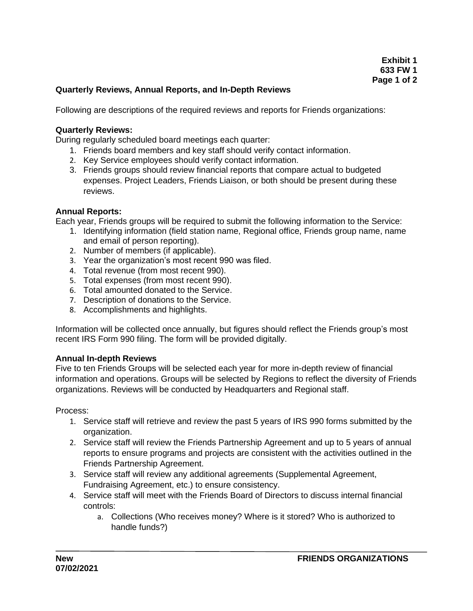# **Quarterly Reviews, Annual Reports, and In-Depth Reviews**

Following are descriptions of the required reviews and reports for Friends organizations:

### **Quarterly Reviews:**

During regularly scheduled board meetings each quarter:

- 1. Friends board members and key staff should verify contact information.
- 2. Key Service employees should verify contact information.
- 3. Friends groups should review financial reports that compare actual to budgeted expenses. Project Leaders, Friends Liaison, or both should be present during these reviews.

### **Annual Reports:**

Each year, Friends groups will be required to submit the following information to the Service:

- 1. Identifying information (field station name, Regional office, Friends group name, name and email of person reporting).
- 2. Number of members (if applicable).
- 3. Year the organization's most recent 990 was filed.
- 4. Total revenue (from most recent 990).
- 5. Total expenses (from most recent 990).
- 6. Total amounted donated to the Service.
- 7. Description of donations to the Service.
- 8. Accomplishments and highlights.

Information will be collected once annually, but figures should reflect the Friends group's most recent IRS Form 990 filing. The form will be provided digitally.

### **Annual In-depth Reviews**

Five to ten Friends Groups will be selected each year for more in-depth review of financial information and operations. Groups will be selected by Regions to reflect the diversity of Friends organizations. Reviews will be conducted by Headquarters and Regional staff.

Process:

- 1. Service staff will retrieve and review the past 5 years of IRS 990 forms submitted by the organization.
- 2. Service staff will review the Friends Partnership Agreement and up to 5 years of annual reports to ensure programs and projects are consistent with the activities outlined in the Friends Partnership Agreement.
- 3. Service staff will review any additional agreements (Supplemental Agreement, Fundraising Agreement, etc.) to ensure consistency.
- 4. Service staff will meet with the Friends Board of Directors to discuss internal financial controls:
	- a. Collections (Who receives money? Where is it stored? Who is authorized to handle funds?)